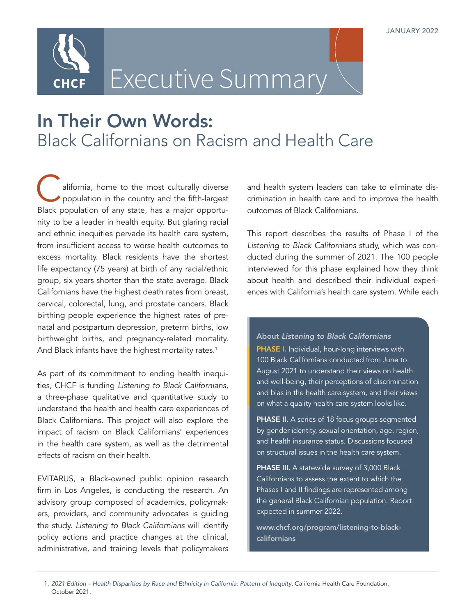

Executive Summary

# In Their Own Words: Black Californians on Racism and Health Care

alifornia, home to the most culturally diverse population in the country and the fifth-largest Black population of any state, has a major opportunity to be a leader in health equity. But glaring racial and ethnic inequities pervade its health care system, from insufficient access to worse health outcomes to excess mortality. Black residents have the shortest life expectancy (75 years) at birth of any racial/ethnic group, six years shorter than the state average. Black Californians have the highest death rates from breast, cervical, colorectal, lung, and prostate cancers. Black birthing people experience the highest rates of prenatal and postpartum depression, preterm births, low birthweight births, and pregnancy-related mortality. And Black infants have the highest mortality rates.<sup>1</sup>

As part of its commitment to ending health inequities, CHCF is funding *Listening to Black Californians*, a three-phase qualitative and quantitative study to understand the health and health care experiences of Black Californians. This project will also explore the impact of racism on Black Californians' experiences in the health care system, as well as the detrimental effects of racism on their health.

EVITARUS, a Black-owned public opinion research firm in Los Angeles, is conducting the research. An advisory group composed of academics, policymakers, providers, and community advocates is guiding the study. *Listening to Black Californians* will identify policy actions and practice changes at the clinical, administrative, and training levels that policymakers and health system leaders can take to eliminate discrimination in health care and to improve the health outcomes of Black Californians.

This report describes the results of Phase I of the *Listening to Black Californians* study, which was conducted during the summer of 2021. The 100 people interviewed for this phase explained how they think about health and described their individual experiences with California's health care system. While each

About *Listening to Black Californians* PHASE I. Individual, hour-long interviews with 100 Black Californians conducted from June to August 2021 to understand their views on health and well-being, their perceptions of discrimination and bias in the health care system, and their views on what a quality health care system looks like.

PHASE II. A series of 18 focus groups segmented by gender identity, sexual orientation, age, region, and health insurance status. Discussions focused on structural issues in the health care system.

PHASE III. A statewide survey of 3,000 Black Californians to assess the extent to which the Phases I and II findings are represented among the general Black Californian population. Report expected in summer 2022.

[www.chcf.org/program/listening-to-black](http://www.chcf.org/program/listening-to-black-californians)[californians](http://www.chcf.org/program/listening-to-black-californians)

<sup>1.</sup> *[2021 Edition – Health Disparities by Race and Ethnicity in California: Pattern of Inequity](https://www.chcf.org/publication/2021-edition-health-disparities-race-ethnicity-california/)*, California Health Care Foundation, October 2021.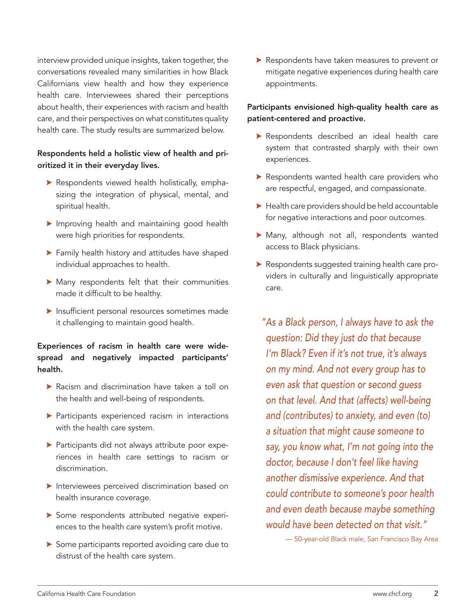interview provided unique insights, taken together, the conversations revealed many similarities in how Black Californians view health and how they experience health care. Interviewees shared their perceptions about health, their experiences with racism and health care, and their perspectives on what constitutes quality health care. The study results are summarized below.

## Respondents held a holistic view of health and prioritized it in their everyday lives.

- $\blacktriangleright$  Respondents viewed health holistically, emphasizing the integration of physical, mental, and spiritual health.
- $\blacktriangleright$  Improving health and maintaining good health were high priorities for respondents.
- $\blacktriangleright$  Family health history and attitudes have shaped individual approaches to health.
- $\blacktriangleright$  Many respondents felt that their communities made it difficult to be healthy.
- $\blacktriangleright$  Insufficient personal resources sometimes made it challenging to maintain good health.

## Experiences of racism in health care were widespread and negatively impacted participants' health.

- $\blacktriangleright$  Racism and discrimination have taken a toll on the health and well-being of respondents.
- $\blacktriangleright$  Participants experienced racism in interactions with the health care system.
- **>** Participants did not always attribute poor experiences in health care settings to racism or discrimination.
- $\blacktriangleright$  Interviewees perceived discrimination based on health insurance coverage.
- Some respondents attributed negative experiences to the health care system's profit motive.
- Some participants reported avoiding care due to distrust of the health care system.

Respondents have taken measures to prevent or mitigate negative experiences during health care appointments.

## Participants envisioned high-quality health care as patient-centered and proactive.

- Respondents described an ideal health care system that contrasted sharply with their own experiences.
- $\blacktriangleright$  Respondents wanted health care providers who are respectful, engaged, and compassionate.
- $\blacktriangleright$  Health care providers should be held accountable for negative interactions and poor outcomes.
- \$ Many, although not all, respondents wanted access to Black physicians.
- Respondents suggested training health care providers in culturally and linguistically appropriate care.

*"As a Black person, I always have to ask the question: Did they just do that because I'm Black? Even if it's not true, it's always on my mind. And not every group has to even ask that question or second guess on that level. And that (affects) well-being and (contributes) to anxiety, and even (to) a situation that might cause someone to say, you know what, I'm not going into the doctor, because I don't feel like having another dismissive experience. And that could contribute to someone's poor health and even death because maybe something would have been detected on that visit."*

— 50-year-old Black male, San Francisco Bay Area